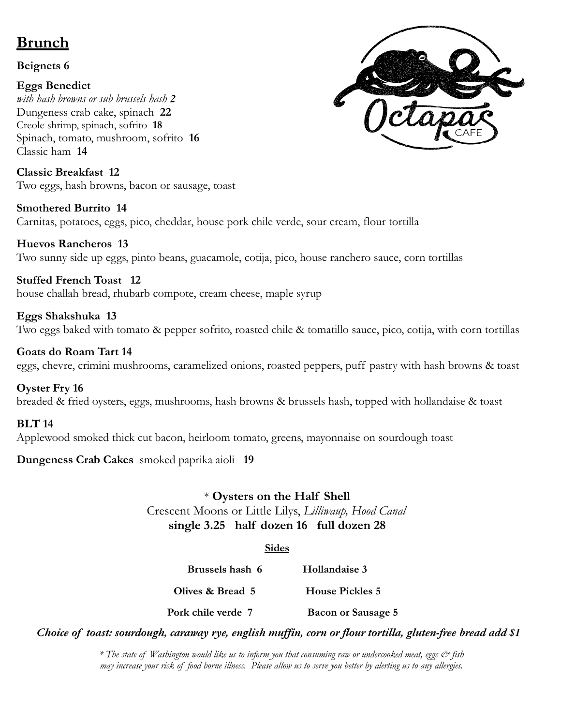# **Brunch**

## **Beignets 6**

## **Eggs Benedict**

*with hash browns or sub brussels hash 2* Dungeness crab cake, spinach **22** Creole shrimp, spinach, sofrito **18** Spinach, tomato, mushroom, sofrito **16** Classic ham **14**

**Classic Breakfast 12** Two eggs, hash browns, bacon or sausage, toast

**Smothered Burrito 14** Carnitas, potatoes, eggs, pico, cheddar, house pork chile verde, sour cream, flour tortilla

**Huevos Rancheros 13** Two sunny side up eggs, pinto beans, guacamole, cotija, pico, house ranchero sauce, corn tortillas

**Stuffed French Toast 12** house challah bread, rhubarb compote, cream cheese, maple syrup

**Eggs Shakshuka 13** Two eggs baked with tomato & pepper sofrito, roasted chile & tomatillo sauce, pico, cotija, with corn tortillas

## **Goats do Roam Tart 14**

eggs, chevre, crimini mushrooms, caramelized onions, roasted peppers, puff pastry with hash browns & toast

## **Oyster Fry 16**

breaded & fried oysters, eggs, mushrooms, hash browns & brussels hash, topped with hollandaise & toast

## **BLT 14**

Applewood smoked thick cut bacon, heirloom tomato, greens, mayonnaise on sourdough toast

**Dungeness Crab Cakes** smoked paprika aioli **19**

## \* **Oysters on the Half Shell**

Crescent Moons or Little Lilys, *Lilliwaup, Hood Canal* **single 3.25 half dozen 16 full dozen 28**

#### **Sides**

**Brussels hash 6 Hollandaise 3 Olives & Bread 5 House Pickles 5 Pork chile verde 7 Bacon or Sausage 5**

*Choice of toast: sourdough, caraway rye, english muf in, corn or flour tortilla, gluten-free bread add \$1*

\* The state of Washington would like us to inform you that consuming raw or undercooked meat, eggs & fish may increase your risk of food borne illness. Please allow us to serve you better by alerting us to any allergies.